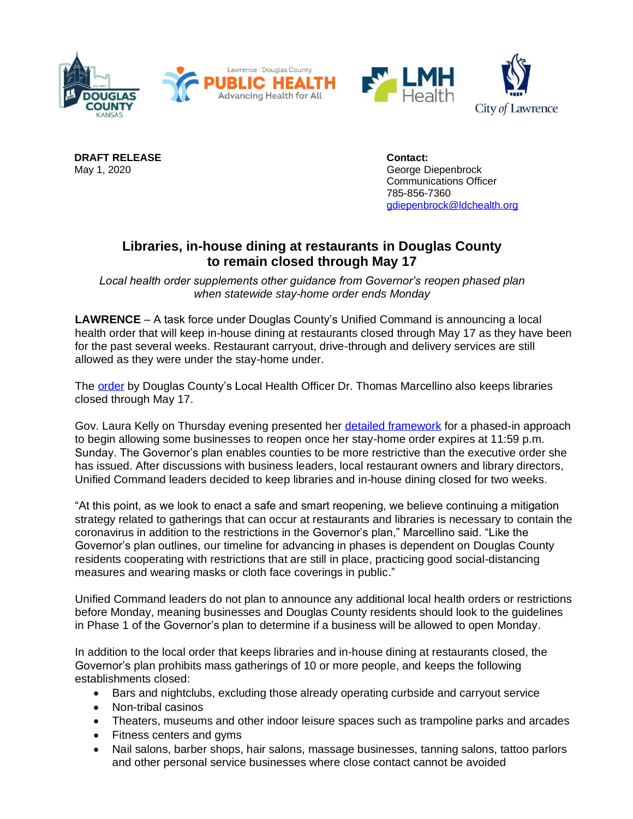

**DRAFT RELEASE Contact:**

May 1, 2020 George Diepenbrock Communications Officer 785-856-7360 [gdiepenbrock@ldchealth.org](mailto:gdiepenbrock@ldchealth.org)

## **Libraries, in-house dining at restaurants in Douglas County to remain closed through May 17**

*Local health order supplements other guidance from Governor's reopen phased plan when statewide stay-home order ends Monday*

**LAWRENCE** – A task force under Douglas County's Unified Command is announcing a local health order that will keep in-house dining at restaurants closed through May 17 as they have been for the past several weeks. Restaurant carryout, drive-through and delivery services are still allowed as they were under the stay-home under.

The **order** by Douglas County's Local Health Officer Dr. Thomas Marcellino also keeps libraries closed through May 17.

Gov. Laura Kelly on Thursday evening presented her [detailed framework](https://covid.ks.gov/wp-content/uploads/2020/04/Reopen-Kansas-Framework-043020.pdf) for a phased-in approach to begin allowing some businesses to reopen once her stay-home order expires at 11:59 p.m. Sunday. The Governor's plan enables counties to be more restrictive than the executive order she has issued. After discussions with business leaders, local restaurant owners and library directors, Unified Command leaders decided to keep libraries and in-house dining closed for two weeks.

"At this point, as we look to enact a safe and smart reopening, we believe continuing a mitigation strategy related to gatherings that can occur at restaurants and libraries is necessary to contain the coronavirus in addition to the restrictions in the Governor's plan," Marcellino said. "Like the Governor's plan outlines, our timeline for advancing in phases is dependent on Douglas County residents cooperating with restrictions that are still in place, practicing good social-distancing measures and wearing masks or cloth face coverings in public."

Unified Command leaders do not plan to announce any additional local health orders or restrictions before Monday, meaning businesses and Douglas County residents should look to the guidelines in Phase 1 of the Governor's plan to determine if a business will be allowed to open Monday.

In addition to the local order that keeps libraries and in-house dining at restaurants closed, the Governor's plan prohibits mass gatherings of 10 or more people, and keeps the following establishments closed:

- Bars and nightclubs, excluding those already operating curbside and carryout service
- Non-tribal casinos
- Theaters, museums and other indoor leisure spaces such as trampoline parks and arcades
- Fitness centers and gyms
- Nail salons, barber shops, hair salons, massage businesses, tanning salons, tattoo parlors and other personal service businesses where close contact cannot be avoided